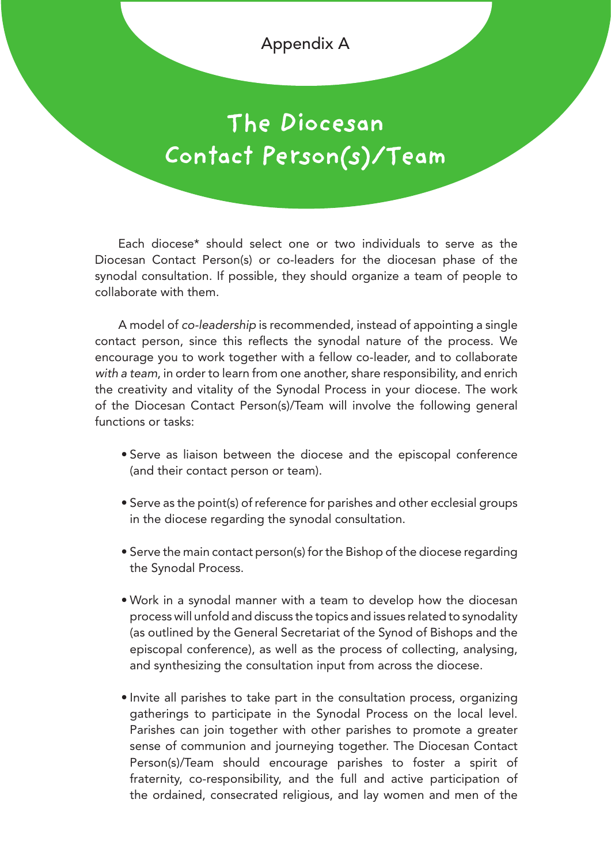Appendix A

## **The Diocesan Contact Person(s)/Team**

Each diocese\* should select one or two individuals to serve as the Diocesan Contact Person(s) or co-leaders for the diocesan phase of the synodal consultation. If possible, they should organize a team of people to collaborate with them.

A model of *co-leadership* is recommended, instead of appointing a single contact person, since this reflects the synodal nature of the process. We encourage you to work together with a fellow co-leader, and to collaborate *with a team*, in order to learn from one another, share responsibility, and enrich the creativity and vitality of the Synodal Process in your diocese. The work of the Diocesan Contact Person(s)/Team will involve the following general functions or tasks:

- Serve as liaison between the diocese and the episcopal conference (and their contact person or team).
- Serve as the point(s) of reference for parishes and other ecclesial groups in the diocese regarding the synodal consultation.
- Serve the main contact person(s) for the Bishop of the diocese regarding the Synodal Process.
- Work in a synodal manner with a team to develop how the diocesan process will unfold and discuss the topics and issues related to synodality (as outlined by the General Secretariat of the Synod of Bishops and the episcopal conference), as well as the process of collecting, analysing, and synthesizing the consultation input from across the diocese.
- Invite all parishes to take part in the consultation process, organizing gatherings to participate in the Synodal Process on the local level. Parishes can join together with other parishes to promote a greater sense of communion and journeying together. The Diocesan Contact Person(s)/Team should encourage parishes to foster a spirit of fraternity, co-responsibility, and the full and active participation of the ordained, consecrated religious, and lay women and men of the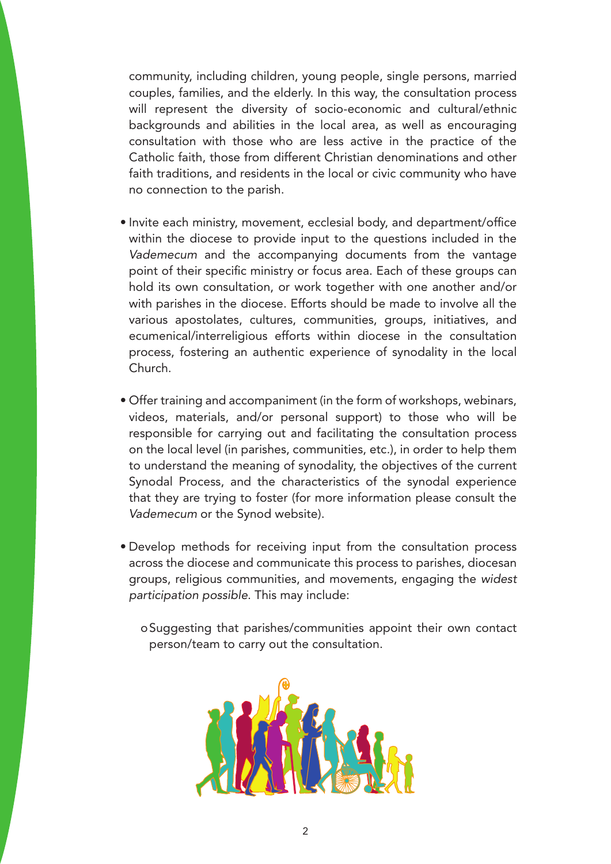community, including children, young people, single persons, married couples, families, and the elderly. In this way, the consultation process will represent the diversity of socio-economic and cultural/ethnic backgrounds and abilities in the local area, as well as encouraging consultation with those who are less active in the practice of the Catholic faith, those from different Christian denominations and other faith traditions, and residents in the local or civic community who have no connection to the parish.

- Invite each ministry, movement, ecclesial body, and department/office within the diocese to provide input to the questions included in the *Vademecum* and the accompanying documents from the vantage point of their specific ministry or focus area. Each of these groups can hold its own consultation, or work together with one another and/or with parishes in the diocese. Efforts should be made to involve all the various apostolates, cultures, communities, groups, initiatives, and ecumenical/interreligious efforts within diocese in the consultation process, fostering an authentic experience of synodality in the local Church.
- Offer training and accompaniment (in the form of workshops, webinars, videos, materials, and/or personal support) to those who will be responsible for carrying out and facilitating the consultation process on the local level (in parishes, communities, etc.), in order to help them to understand the meaning of synodality, the objectives of the current Synodal Process, and the characteristics of the synodal experience that they are trying to foster (for more information please consult the *Vademecum* or the Synod website).
- Develop methods for receiving input from the consultation process across the diocese and communicate this process to parishes, diocesan groups, religious communities, and movements, engaging the *widest participation possible*. This may include:
	- oSuggesting that parishes/communities appoint their own contact person/team to carry out the consultation.

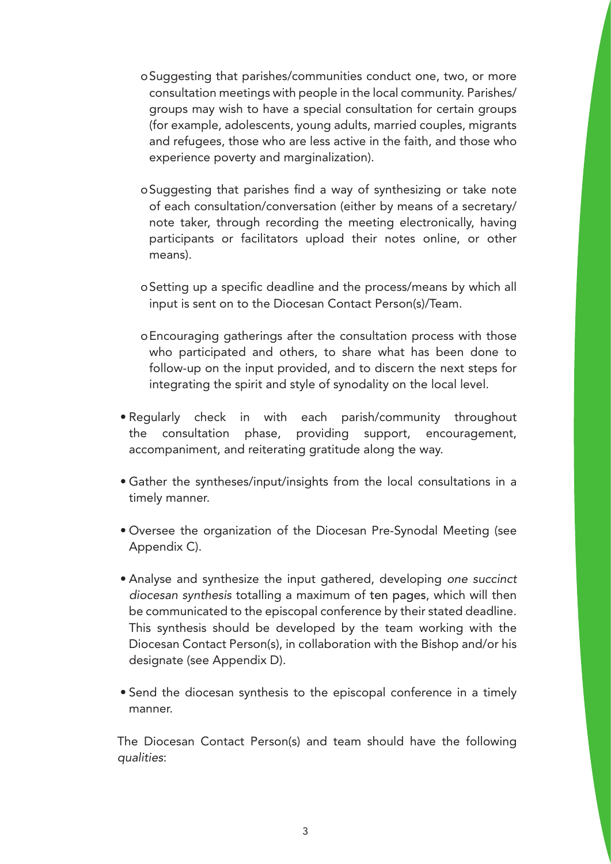- oSuggesting that parishes/communities conduct one, two, or more consultation meetings with people in the local community. Parishes/ groups may wish to have a special consultation for certain groups (for example, adolescents, young adults, married couples, migrants and refugees, those who are less active in the faith, and those who experience poverty and marginalization).
- oSuggesting that parishes find a way of synthesizing or take note of each consultation/conversation (either by means of a secretary/ note taker, through recording the meeting electronically, having participants or facilitators upload their notes online, or other means).
- oSetting up a specific deadline and the process/means by which all input is sent on to the Diocesan Contact Person(s)/Team.
- oEncouraging gatherings after the consultation process with those who participated and others, to share what has been done to follow-up on the input provided, and to discern the next steps for integrating the spirit and style of synodality on the local level.
- Regularly check in with each parish/community throughout the consultation phase, providing support, encouragement, accompaniment, and reiterating gratitude along the way.
- Gather the syntheses/input/insights from the local consultations in a timely manner.
- Oversee the organization of the Diocesan Pre-Synodal Meeting (see Appendix C).
- Analyse and synthesize the input gathered, developing *one succinct diocesan synthesis* totalling a maximum of ten pages, which will then be communicated to the episcopal conference by their stated deadline. This synthesis should be developed by the team working with the Diocesan Contact Person(s), in collaboration with the Bishop and/or his designate (see Appendix D).
- Send the diocesan synthesis to the episcopal conference in a timely manner.

The Diocesan Contact Person(s) and team should have the following *qualities*: